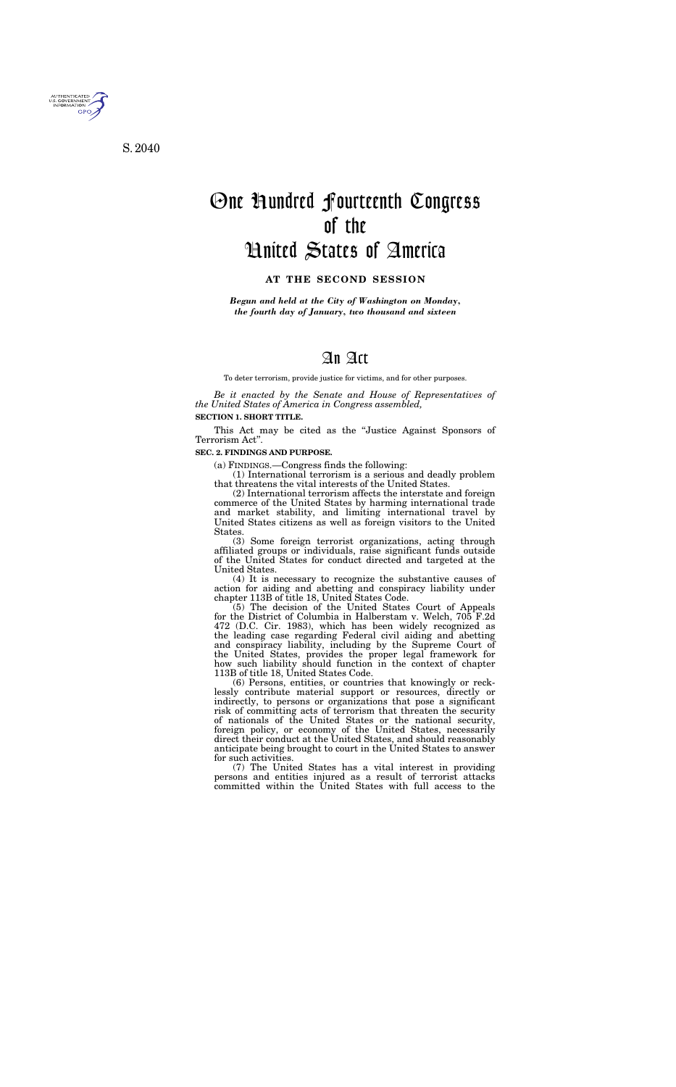

S. 2040

# One Hundred Fourteenth Congress of the United States of America

#### **AT THE SECOND SESSION**

*Begun and held at the City of Washington on Monday, the fourth day of January, two thousand and sixteen* 

# An Act

To deter terrorism, provide justice for victims, and for other purposes.

*Be it enacted by the Senate and House of Representatives of the United States of America in Congress assembled,* 

# **SECTION 1. SHORT TITLE.**

This Act may be cited as the ''Justice Against Sponsors of Terrorism Act''.

#### **SEC. 2. FINDINGS AND PURPOSE.**

(a) FINDINGS.—Congress finds the following:

(1) International terrorism is a serious and deadly problem that threatens the vital interests of the United States.

(2) International terrorism affects the interstate and foreign commerce of the United States by harming international trade and market stability, and limiting international travel by United States citizens as well as foreign visitors to the United States.

(3) Some foreign terrorist organizations, acting through affiliated groups or individuals, raise significant funds outside of the United States for conduct directed and targeted at the United States.

(4) It is necessary to recognize the substantive causes of action for aiding and abetting and conspiracy liability under chapter 113B of title 18, United States Code.

(5) The decision of the United States Court of Appeals for the District of Columbia in Halberstam v. Welch, 705 F.2d 472 (D.C. Cir. 1983), which has been widely recognized as the leading case regarding Federal civil aiding and abetting and conspiracy liability, including by the Supreme Court of the United States, provides the proper legal framework for how such liability should function in the context of chapter 113B of title 18, United States Code.

(6) Persons, entities, or countries that knowingly or recklessly contribute material support or resources, directly or indirectly, to persons or organizations that pose a significant risk of committing acts of terrorism that threaten the security of nationals of the United States or the national security, foreign policy, or economy of the United States, necessarily direct their conduct at the United States, and should reasonably anticipate being brought to court in the United States to answer for such activities.

(7) The United States has a vital interest in providing persons and entities injured as a result of terrorist attacks committed within the United States with full access to the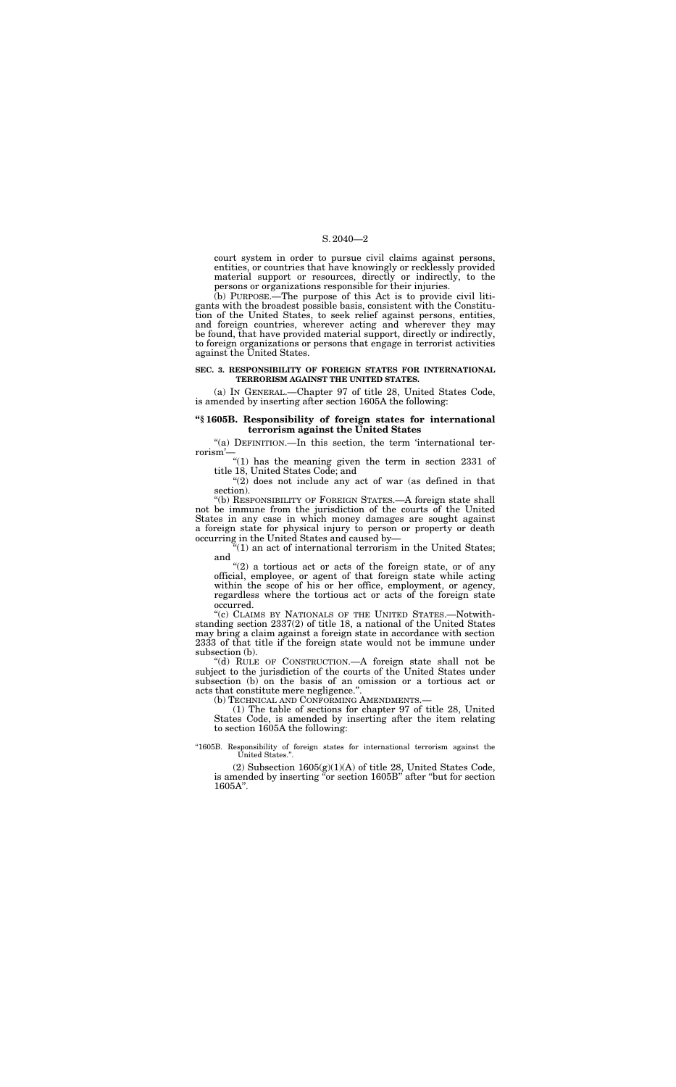#### S. 2040—2

court system in order to pursue civil claims against persons, entities, or countries that have knowingly or recklessly provided material support or resources, directly or indirectly, to the persons or organizations responsible for their injuries.

(b) PURPOSE.—The purpose of this Act is to provide civil litigants with the broadest possible basis, consistent with the Constitution of the United States, to seek relief against persons, entities, and foreign countries, wherever acting and wherever they may be found, that have provided material support, directly or indirectly, to foreign organizations or persons that engage in terrorist activities against the United States.

"(a) DEFINITION.—In this section, the term 'international terrorism'—

"(1) has the meaning given the term in section 2331 of title 18, United States Code; and

" $(2)$  does not include any act of war (as defined in that section).

#### **SEC. 3. RESPONSIBILITY OF FOREIGN STATES FOR INTERNATIONAL TERRORISM AGAINST THE UNITED STATES.**

 $\mathbf{F}(1)$  an act of international terrorism in the United States; and

(a) IN GENERAL.—Chapter 97 of title 28, United States Code, is amended by inserting after section 1605A the following:

" $(2)$  a tortious act or acts of the foreign state, or of any official, employee, or agent of that foreign state while acting within the scope of his or her office, employment, or agency, regardless where the tortious act or acts of the foreign state occurred.

#### **''§ 1605B. Responsibility of foreign states for international terrorism against the United States**

"(c) CLAIMS BY NATIONALS OF THE UNITED STATES.—Notwithstanding section 2337(2) of title 18, a national of the United States may bring a claim against a foreign state in accordance with section 2333 of that title if the foreign state would not be immune under subsection (b).

''(b) RESPONSIBILITY OF FOREIGN STATES.—A foreign state shall not be immune from the jurisdiction of the courts of the United States in any case in which money damages are sought against a foreign state for physical injury to person or property or death occurring in the United States and caused by—

''(d) RULE OF CONSTRUCTION.—A foreign state shall not be subject to the jurisdiction of the courts of the United States under subsection (b) on the basis of an omission or a tortious act or acts that constitute mere negligence.''.

(b) TECHNICAL AND CONFORMING AMENDMENTS.—

(1) The table of sections for chapter 97 of title 28, United States Code, is amended by inserting after the item relating to section 1605A the following:

''1605B. Responsibility of foreign states for international terrorism against the United States.''.

(2) Subsection 1605(g)(1)(A) of title 28, United States Code, is amended by inserting "or section 1605B" after "but for section 1605A''.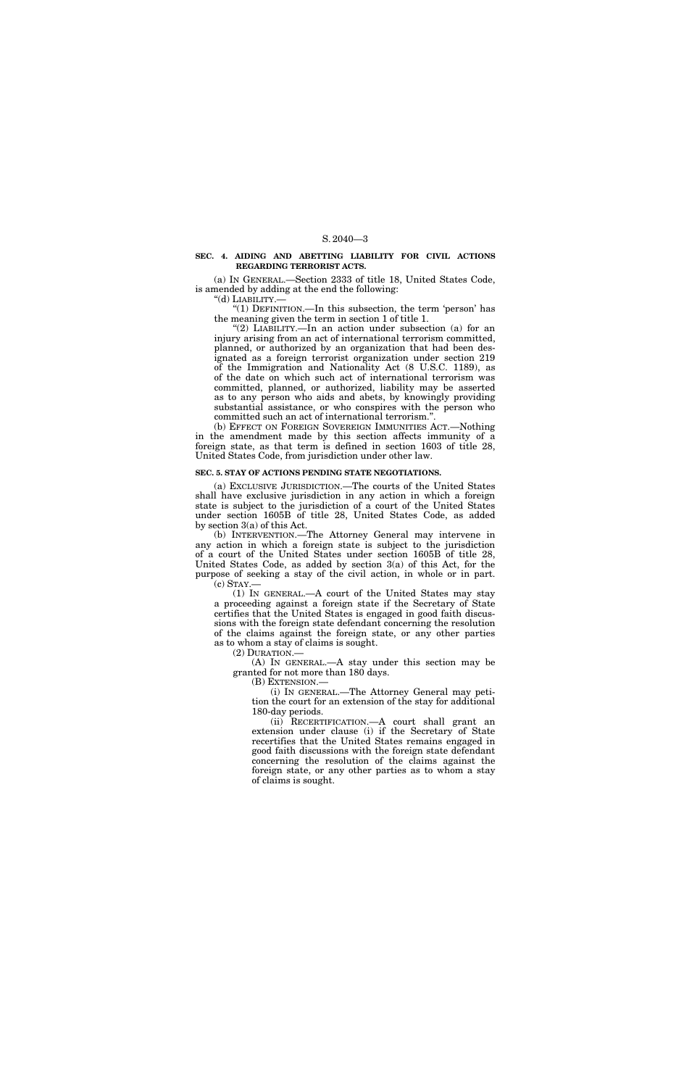# S. 2040—3

#### **SEC. 4. AIDING AND ABETTING LIABILITY FOR CIVIL ACTIONS REGARDING TERRORIST ACTS.**

(a) IN GENERAL.—Section 2333 of title 18, United States Code, is amended by adding at the end the following:

''(d) LIABILITY.—

''(1) DEFINITION.—In this subsection, the term 'person' has the meaning given the term in section 1 of title 1.

"(2) LIABILITY.—In an action under subsection (a) for an injury arising from an act of international terrorism committed, planned, or authorized by an organization that had been designated as a foreign terrorist organization under section 219 of the Immigration and Nationality Act (8 U.S.C. 1189), as of the date on which such act of international terrorism was committed, planned, or authorized, liability may be asserted as to any person who aids and abets, by knowingly providing substantial assistance, or who conspires with the person who committed such an act of international terrorism."

(b) INTERVENTION.—The Attorney General may intervene in any action in which a foreign state is subject to the jurisdiction of a court of the United States under section 1605B of title 28, United States Code, as added by section 3(a) of this Act, for the purpose of seeking a stay of the civil action, in whole or in part.  $(c)$  STAY.—

(b) EFFECT ON FOREIGN SOVEREIGN IMMUNITIES ACT.—Nothing in the amendment made by this section affects immunity of a foreign state, as that term is defined in section 1603 of title 28, United States Code, from jurisdiction under other law.

#### **SEC. 5. STAY OF ACTIONS PENDING STATE NEGOTIATIONS.**

(a) EXCLUSIVE JURISDICTION.—The courts of the United States shall have exclusive jurisdiction in any action in which a foreign state is subject to the jurisdiction of a court of the United States under section 1605B of title 28, United States Code, as added by section 3(a) of this Act.

(1) IN GENERAL.—A court of the United States may stay a proceeding against a foreign state if the Secretary of State certifies that the United States is engaged in good faith discussions with the foreign state defendant concerning the resolution of the claims against the foreign state, or any other parties as to whom a stay of claims is sought.

(2) DURATION.—

(A) IN GENERAL.—A stay under this section may be granted for not more than 180 days.

(B) EXTENSION.—

(i) IN GENERAL.—The Attorney General may petition the court for an extension of the stay for additional 180-day periods.

(ii) RECERTIFICATION.—A court shall grant an extension under clause (i) if the Secretary of State recertifies that the United States remains engaged in good faith discussions with the foreign state defendant concerning the resolution of the claims against the foreign state, or any other parties as to whom a stay of claims is sought.